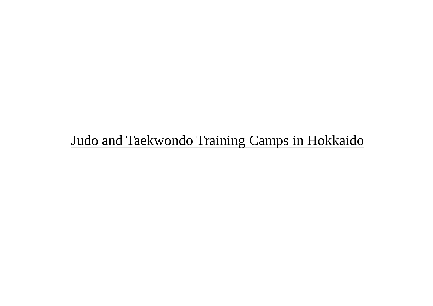# Judo and Taekwondo Training Camps in Hokkaido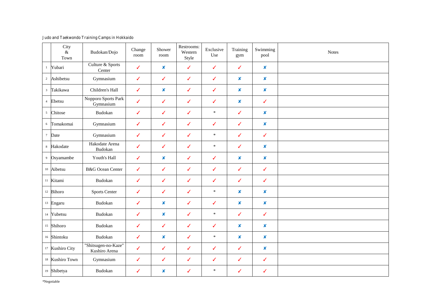#### **Judo and Taekwondo Training Camps in Hokkaido**

|                | City<br>$\&$<br>Town       | Budokan/Dojo                         | Change<br>room | Shower<br>room   | Restrooms:<br>Western<br>Style | Exclusive<br>Use | Training<br>gym           | Swimming<br>pool | <b>Notes</b> |
|----------------|----------------------------|--------------------------------------|----------------|------------------|--------------------------------|------------------|---------------------------|------------------|--------------|
| $\mathbf{1}$   | Yubari                     | Culture & Sports<br>Center           | $\checkmark$   | $\boldsymbol{x}$ | $\checkmark$                   | $\checkmark$     | $\checkmark$              | $\boldsymbol{x}$ |              |
|                | 2 Ashibetsu                | Gymnasium                            | $\checkmark$   | $\checkmark$     | ✓                              | $\checkmark$     | $\boldsymbol{x}$          | $\boldsymbol{x}$ |              |
|                | <sup>3</sup> Takikawa      | Children's Hall                      | $\checkmark$   | ×                | ✓                              | $\checkmark$     | $\boldsymbol{\mathsf{x}}$ | ×                |              |
| $\overline{4}$ | Ebetsu                     | Nopporo Sports Park<br>Gymnasium     | $\checkmark$   | $\checkmark$     | ✓                              | ✓                | $\boldsymbol{x}$          | $\checkmark$     |              |
| $\mathfrak{S}$ | Chitose                    | Budokan                              | ✓              | ✓                | ✓                              | $\ast$           | $\checkmark$              | ×                |              |
|                | <sup>6</sup> Tomakomai     | Gymnasium                            | $\checkmark$   | $\checkmark$     | $\checkmark$                   | ✓                | $\checkmark$              | $\pmb{\times}$   |              |
| $\tau$         | Date                       | Gymnasium                            | $\checkmark$   | ✓                | ✓                              | $\ast$           | $\checkmark$              | $\checkmark$     |              |
|                | 8 Hakodate                 | Hakodate Arena<br>Budokan            | $\checkmark$   | ✓                | ✓                              | $\ast$           | $\checkmark$              | ×                |              |
|                | <sup>9</sup> Osyamambe     | Youth's Hall                         | $\checkmark$   | $\boldsymbol{x}$ | ✓                              | $\checkmark$     | $\boldsymbol{x}$          | $\boldsymbol{x}$ |              |
|                | 10 Aibetsu                 | <b>B&amp;G</b> Ocean Center          | ✓              | ✓                | ✓                              | ✓                | $\checkmark$              | ✓                |              |
|                | <sup>11</sup> Kitami       | Budokan                              | $\checkmark$   | ✓                | ✓                              | ✓                | $\checkmark$              | $\checkmark$     |              |
|                | $12$ Bihoro                | <b>Sports Center</b>                 | $\checkmark$   | $\checkmark$     | $\checkmark$                   | $\ast$           | $\pmb{\times}$            | $\pmb{\times}$   |              |
|                | 13 Engaru                  | Budokan                              | $\checkmark$   | $\boldsymbol{x}$ | ✓                              | ✓                | $\boldsymbol{x}$          | ×                |              |
|                | 14 Yubetsu                 | Budokan                              | $\checkmark$   | ×                | $\checkmark$                   | $\ast$           | $\checkmark$              | $\checkmark$     |              |
|                | 15 Shihoro                 | Budokan                              | ✓              | ✓                | ✓                              | ✓                | $\boldsymbol{x}$          | ×                |              |
|                | 16 Shintoku                | Budokan                              | ✓              | ×                | ✓                              | $\ast$           | $\boldsymbol{\mathsf{x}}$ | ×                |              |
|                | 17 Kushiro City            | "Shitsugen-no-Kaze"<br>Kushiro Arena | $\checkmark$   | $\checkmark$     | ✓                              | $\checkmark$     | $\checkmark$              | ×                |              |
|                | <sup>18</sup> Kushiro Town | Gymnasium                            | $\checkmark$   | ✓                | ✓                              | ✓                | $\checkmark$              | ✓                |              |
|                | 19 Shibetya                | Budokan                              | ✓              | ×                | ✓                              | $\ast$           | ✓                         | ✓                |              |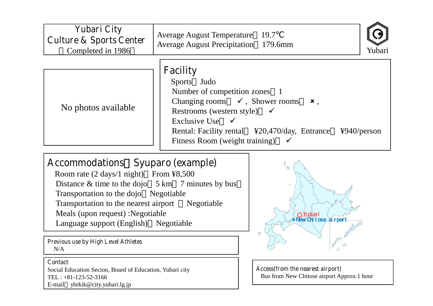| <b>Yubari City</b>                 | <b>Average August Temperature</b> 19.7                                                                                                                                                                                                                                |
|------------------------------------|-----------------------------------------------------------------------------------------------------------------------------------------------------------------------------------------------------------------------------------------------------------------------|
| <b>Culture &amp; Sports Center</b> | <b>Average August Precipitation</b> 179.6mm                                                                                                                                                                                                                           |
| Completed in 1986                  | Yubari                                                                                                                                                                                                                                                                |
| No photos available                | <b>Facility</b><br>Sports Judo<br>Number of competition zones 1<br>Changing rooms $\checkmark$ , Shower rooms $\checkmark$ ,<br>Restrooms (western style) $\checkmark$<br>Exclusive Use $\checkmark$<br>$4940$ /person<br>Fitness Room (weight training) $\checkmark$ |

## **Accommodations**~**Syuparo (example)**

Room rate (2 days/1 night) From ¥8,500 Distance  $&$  time to the dojo  $5 \text{ km}$  7 minutes by bus Transportation to the dojo Negotiable Transportation to the nearest airport Negotiable Meals (upon request) :Negotiable Language support (English) Negotiable

**Previous use by High Level Athletes** N/A

#### **Contact**

Social Education Secion, Board of Education, Yubari city TEL : +81-123-52-3166 E-mail ybrkik@city.yubari.lg.jp



**Access(from the nearest airport)** Bus from New Chitose airport Approx.1 hour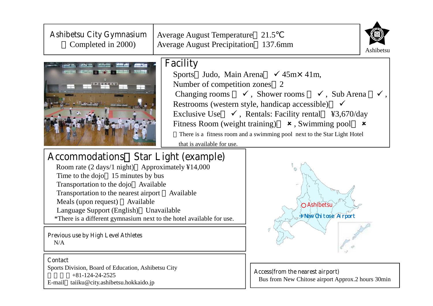| <b>Ashibetsu City Gymnasium</b><br>Completed in 2000)                                                                                                                                                                                                                                                                                                                                                                                       | Average August Temperature 21.5<br><b>Average August Precipitation</b> 137.6mm | Ashibetsu                                                                                                                                                                                                                                                                                                                                                                                                                                 |
|---------------------------------------------------------------------------------------------------------------------------------------------------------------------------------------------------------------------------------------------------------------------------------------------------------------------------------------------------------------------------------------------------------------------------------------------|--------------------------------------------------------------------------------|-------------------------------------------------------------------------------------------------------------------------------------------------------------------------------------------------------------------------------------------------------------------------------------------------------------------------------------------------------------------------------------------------------------------------------------------|
|                                                                                                                                                                                                                                                                                                                                                                                                                                             | <b>Facility</b><br>Number of competition zones 2<br>that is available for use. | Sports Judo, Main Arena $\checkmark$ 45m $\times$ 41m,<br>Changing rooms $\checkmark$ , Shower rooms $\checkmark$ , Sub Arena<br>Restrooms (western style, handicap accessible)<br>Exclusive Use $\checkmark$ , Rentals: Facility rental \\frac{43,670/day}\$3,670/day<br>Fitness Room (weight training) $\star$ , Swimming pool<br>$\boldsymbol{\mathsf{x}}$<br>There is a fitness room and a swimming pool next to the Star Light Hotel |
| <b>Accommodations</b> Star Light (example)<br>Room rate (2 days/1 night) Approximately ¥14,000<br>Time to the dojo 15 minutes by bus<br>Transportation to the dojo Available<br>Transportation to the nearest airport Available<br>Meals (upon request)<br>Available<br>Language Support (English) Unavailable<br>*There is a different gymnasium next to the hotel available for use.<br><b>Previous use by High Level Athletes</b><br>N/A | Ashibetsu<br>Wew Chitose Airport                                               |                                                                                                                                                                                                                                                                                                                                                                                                                                           |
| <b>Contact</b><br>Sports Division, Board of Education, Ashibetsu City                                                                                                                                                                                                                                                                                                                                                                       |                                                                                |                                                                                                                                                                                                                                                                                                                                                                                                                                           |

+81-124-24-2525 E-mail taiiku@city.ashibetsu.hokkaido.jp **Access(from the nearest airport)** Bus from New Chitose airport Approx.2 hours 30min

 $\lambda$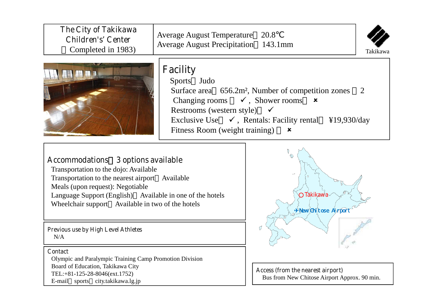| The City of Takikawa      | Average August Temperature 20.8                                                                                                                                                                                                                                                                                                                  |
|---------------------------|--------------------------------------------------------------------------------------------------------------------------------------------------------------------------------------------------------------------------------------------------------------------------------------------------------------------------------------------------|
| <b>Children's' Center</b> | <b>Average August Precipitation</b> 143.1mm                                                                                                                                                                                                                                                                                                      |
| Completed in 1983)        | Takikawa                                                                                                                                                                                                                                                                                                                                         |
|                           | <b>Facility</b><br>Sports Judo<br>Surface area 656.2m <sup>2</sup> , Number of competition zones 2<br>Changing rooms $\checkmark$ , Shower rooms $\checkmark$<br>Restrooms (western style) $\checkmark$<br>Exclusive Use $\checkmark$ , Rentals: Facility rental \times \times 419,930/day<br>Fitness Room (weight training) $\boldsymbol{\ast}$ |

## **Accommodations**~**3 options available**

Transportation to the dojo: Available Transportation to the nearest airport Available Meals (upon request): Negotiable Language Support (English) Available in one of the hotels Wheelchair support Available in two of the hotels

**Previous use by High Level Athletes** N/A

#### **Contact**

Olympic and Paralympic Training Camp Promotion Division Board of Education, Takikawa City TEL:+81-125-28-8046(ext.1752) E-mail sports city.takikawa.lg.jp



**Access (from the nearest airport)** Bus from New Chitose Airport Approx. 90 min.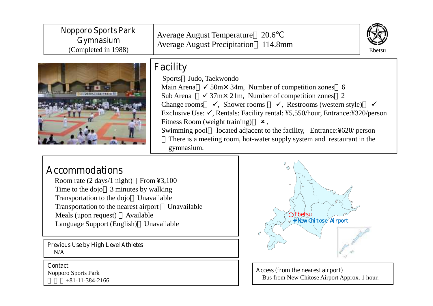| <b>Nopporo Sports Park</b><br>Gymnasium<br>(Completed in 1988)                                                                                                                                                                              | Average August Temperature 20.6<br><b>Average August Precipitation</b> 114.8mm                                                                                                                                                                                                                                                                                                                                                                                                                                                                                                                     | Ebetsu |
|---------------------------------------------------------------------------------------------------------------------------------------------------------------------------------------------------------------------------------------------|----------------------------------------------------------------------------------------------------------------------------------------------------------------------------------------------------------------------------------------------------------------------------------------------------------------------------------------------------------------------------------------------------------------------------------------------------------------------------------------------------------------------------------------------------------------------------------------------------|--------|
|                                                                                                                                                                                                                                             | <b>Facility</b><br>Sports Judo, Taekwondo<br>Main Arena $\checkmark$ 50m $\times$ 34m, Number of competition zones 6<br>$\checkmark$ 37m $\times$ 21m, Number of competition zones 2<br>Sub Arena<br>Change rooms $\checkmark$ , Shower rooms $\checkmark$ , Restrooms (western style)<br>Exclusive Use: $\checkmark$ , Rentals: Facility rental: ¥5,550/hour, Entrance: ¥320/person<br>Fitness Room (weight training) $\star$ ,<br>Swimming pool located adjacent to the facility, Entrance: ¥620/ person<br>There is a meeting room, hot-water supply system and restaurant in the<br>gymnasium. |        |
| <b>Accommodations</b><br>Room rate $(2 \text{ days}/1 \text{ night})$ From ¥3,100<br>$\mathbf{T}^*$ and $\mathbf{A}$ and $\mathbf{A}$ and $\mathbf{A}$ and $\mathbf{A}$ and $\mathbf{A}$ and $\mathbf{A}$ and $\mathbf{A}$ and $\mathbf{A}$ |                                                                                                                                                                                                                                                                                                                                                                                                                                                                                                                                                                                                    |        |

Time to the dojo 3 minutes by walking Transportation to the dojo Unavailable Transportation to the nearest airport Unavailable Meals (upon request) Available Language Support (English) Unavailable

**Previous Use by High Level Athletes** N/A

**Contact** Nopporo Sports Park +81-11-384-2166



**Access (from the nearest airport)** Bus from New Chitose Airport Approx. 1 hour.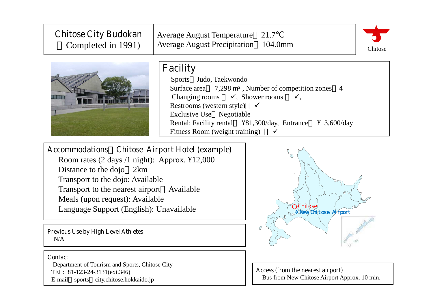| <b>Chitose City Budokan</b><br>Completed in 1991)                                                                                                                                                                                                                                                                                                                            | Average August Temperature 21.7<br><b>Average August Precipitation</b> 104.0mm                                                                                                                                                                                                                             | Chitose |  |  |
|------------------------------------------------------------------------------------------------------------------------------------------------------------------------------------------------------------------------------------------------------------------------------------------------------------------------------------------------------------------------------|------------------------------------------------------------------------------------------------------------------------------------------------------------------------------------------------------------------------------------------------------------------------------------------------------------|---------|--|--|
|                                                                                                                                                                                                                                                                                                                                                                              | <b>Facility</b><br>Sports Judo, Taekwondo<br>Surface area 7,298 m <sup>2</sup> , Number of competition zones 4<br>Changing rooms $\checkmark$ , Shower rooms $\checkmark$ ,<br>Restrooms (western style) $\checkmark$<br>Exclusive Use Negotiable<br>$\angle 3,600$ /day<br>Fitness Room (weight training) |         |  |  |
| <b>Accommodations</b> Chitose Airport Hotel (example)<br>$(2 \cdot 1)$ $(1 \cdot 1)$ $(1 \cdot 1)$ $(1 \cdot 1)$ $(1 \cdot 1)$ $(1 \cdot 1)$ $(1 \cdot 1)$ $(1 \cdot 1)$ $(1 \cdot 1)$ $(1 \cdot 1)$ $(1 \cdot 1)$ $(1 \cdot 1)$ $(1 \cdot 1)$ $(1 \cdot 1)$ $(1 \cdot 1)$ $(1 \cdot 1)$ $(1 \cdot 1)$ $(1 \cdot 1)$ $(1 \cdot 1)$ $(1 \cdot 1)$ $(1 \cdot 1)$ $(1 \cdot 1)$ |                                                                                                                                                                                                                                                                                                            |         |  |  |

Room rates (2 days /1 night): Approx. ¥12,000 Distance to the dojo 2km Transport to the dojo: Available Transport to the nearest airport Available Meals (upon request): Available Language Support (English): Unavailable

**Previous Use by High Level Athletes** N/A

#### **Contact**

Department of Tourism and Sports, Chitose City TEL:+81-123-24-3131(ext.346) E-mail sports city.chitose.hokkaido.jp



**Access (from the nearest airport)** Bus from New Chitose Airport Approx. 10 min.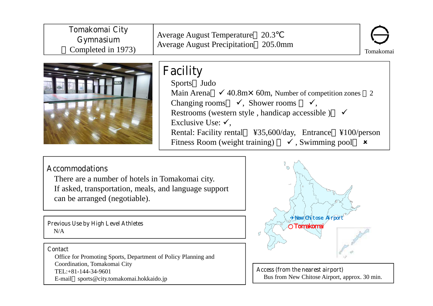| <b>Tomakomai City</b><br><b>Gymnasium</b><br>Completed in 1973) | Average August Temperature 20.3<br><b>Average August Precipitation</b> 205.0mm                                                                                                                                                               | Tomakomai |
|-----------------------------------------------------------------|----------------------------------------------------------------------------------------------------------------------------------------------------------------------------------------------------------------------------------------------|-----------|
|                                                                 | <b>Facility</b><br>Sports Judo<br>Main Arena $\checkmark$ 40.8m $\times$ 60m, Number of competition zones 2<br>Changing rooms $\checkmark$ , Shower rooms<br>Restrooms (western style, handicap accessible)<br>Exclusive Use: $\checkmark$ . |           |

Rental: Facility rental ¥35,600/day, Entrance ¥100/person Fitness Room (weight training)  $\checkmark$ , Swimming pool  $\boldsymbol{\mathsf{x}}$ 

## **Accommodations**

There are a number of hotels in Tomakomai city. If asked, transportation, meals, and language support can be arranged (negotiable).

**Previous Use by High Level Athletes** N/A

#### **Contact**

Office for Promoting Sports, Department of Policy Planning and Coordination, Tomakomai City TEL:+81-144-34-9601 E-mail sports@city.tomakomai.hokkaido.jp



**Access (from the nearest airport)** Bus from New Chitose Airport, approx. 30 min.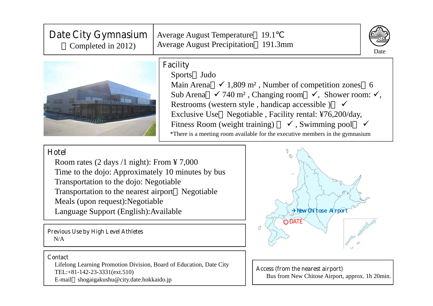| Date City Gymnasium<br>Completed in 2012)                              | <b>Average August Temperature</b><br>19.1<br><b>Average August Precipitation</b> 191.3mm<br>Date                                                                                                                                                                                                                                                                                                                                                                                                           |
|------------------------------------------------------------------------|------------------------------------------------------------------------------------------------------------------------------------------------------------------------------------------------------------------------------------------------------------------------------------------------------------------------------------------------------------------------------------------------------------------------------------------------------------------------------------------------------------|
|                                                                        | <b>Facility</b><br><b>Sports</b><br>Judo<br>Main Arena $\checkmark$ 1,809 m <sup>2</sup> , Number of competition zones 6<br>Sub Arena $\checkmark$ 740 m <sup>2</sup> , Changing room $\checkmark$ , Shower room: $\checkmark$ ,<br>Restrooms (western style, handicap accessible) $\checkmark$<br>Exclusive Use Negotiable, Facility rental: ¥76,200/day,<br>Fitness Room (weight training) $\checkmark$ , Swimming pool<br>*There is a meeting room available for the executive members in the gymnasium |
| Hotel<br>Room rates $(2 \text{ days } 1 \text{ night})$ : From ¥ 7,000 |                                                                                                                                                                                                                                                                                                                                                                                                                                                                                                            |

Time to the dojo: Approximately 10 minutes by bus Transportation to the dojo: Negotiable Transportation to the nearest airport Negotiable Meals (upon request):Negotiable Language Support (English):Available

**Previous Use by High Level Athletes** N/A

#### **Contact**

Lifelong Learning Promotion Division, Board of Education, Date City TEL:+81-142-23-3331(ext.510) E-mail shogaigakushu@city.date.hokkaido.jp



**Access (from the nearest airport)** Bus from New Chitose Airport, approx. 1h 20min.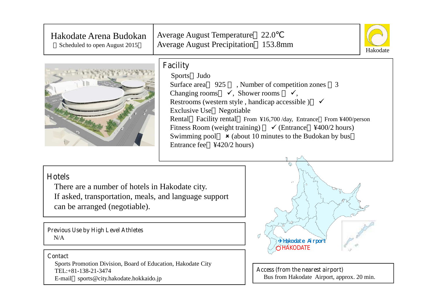| Hakodate Arena Budokan<br>Scheduled to open August 2015                                                                                                   | Average August Temperature 22.0<br><b>Average August Precipitation</b> 153.8mm                                          | Hakodate                                                                                                                                                                                                                                                                                                                        |
|-----------------------------------------------------------------------------------------------------------------------------------------------------------|-------------------------------------------------------------------------------------------------------------------------|---------------------------------------------------------------------------------------------------------------------------------------------------------------------------------------------------------------------------------------------------------------------------------------------------------------------------------|
|                                                                                                                                                           | <b>Facility</b><br>Sports Judo<br>Changing rooms $\checkmark$ , Shower rooms $\checkmark$ ,<br>Exclusive Use Negotiable | Surface area 925, Number of competition zones<br>3<br>Restrooms (western style, handicap accessible) $\checkmark$<br>Rental Facility rental From ¥16,700/day, Entrance From ¥400/person<br>Fitness Room (weight training) $\checkmark$ (Entrance ¥400/2 hours)<br>Swimming pool $\star$ (about 10 minutes to the Budokan by bus |
| <b>Hotels</b><br>There are a number of hotels in Hakodate city.<br>If asked, transportation, meals, and language support<br>can be arranged (negotiable). |                                                                                                                         |                                                                                                                                                                                                                                                                                                                                 |
| <b>Previous Use by High Level Athletes</b><br>N/A                                                                                                         |                                                                                                                         | Ø<br>+Hakodate Airport<br>HÁKODATE                                                                                                                                                                                                                                                                                              |
| <b>Contact</b><br>Sports Promotion Division, Board of Education, Hakodate City<br>TEL:+81-138-21-3474<br>E-mail sports@city.hakodate.hokkaido.jp          |                                                                                                                         | Access (from the nearest airport)<br>Bus from Hakodate Airport, approx. 20 min.                                                                                                                                                                                                                                                 |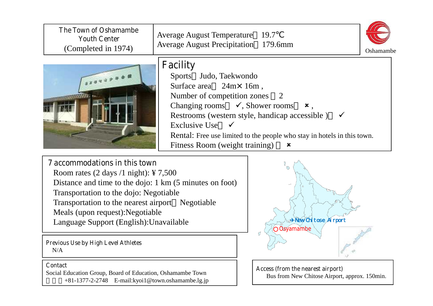| <b>The Town of Oshamambe</b><br><b>Youth Center</b><br>(Completed in 1974)                                                                                                                                                                                                                                                                 | <b>Average August Temperature</b><br><b>Average August Precipitation</b> 179.6mm                                                                                                                                       | 19.7<br>Oshamambe                                                                                                                                                    |
|--------------------------------------------------------------------------------------------------------------------------------------------------------------------------------------------------------------------------------------------------------------------------------------------------------------------------------------------|------------------------------------------------------------------------------------------------------------------------------------------------------------------------------------------------------------------------|----------------------------------------------------------------------------------------------------------------------------------------------------------------------|
|                                                                                                                                                                                                                                                                                                                                            | <b>Facility</b><br>Sports Judo, Taekwondo<br>Surface area<br>$24m \times 16m$ ,<br>Number of competition zones<br>Changing rooms $\checkmark$ , Shower rooms<br><b>Exclusive Use</b><br>Fitness Room (weight training) | 2<br>$x$ ,<br>Restrooms (western style, handicap accessible)<br>Rental: Free use limited to the people who stay in hotels in this town.<br>$\boldsymbol{\mathsf{x}}$ |
| <b>7</b> accommodations in this town<br>Room rates $(2 \text{ days } / 1 \text{ night})$ : ¥ 7,500<br>Distance and time to the dojo: 1 km (5 minutes on foot)<br>Transportation to the dojo: Negotiable<br>Transportation to the nearest airport Negotiable<br>Meals (upon request): Negotiable<br>Language Support (English): Unavailable |                                                                                                                                                                                                                        | $\circ$<br><b>Frew Chit cse Airport</b><br>Osyamambe                                                                                                                 |
| <b>Previous Use by High Level Athletes</b><br>N/A                                                                                                                                                                                                                                                                                          |                                                                                                                                                                                                                        |                                                                                                                                                                      |
| <b>Contact</b><br>Social Education Group, Board of Education, Oshamambe Town<br>+81-1377-2-2748 E-mail:kyoi1@town.oshamambe.lg.jp                                                                                                                                                                                                          |                                                                                                                                                                                                                        | Access (from the nearest airport)<br>Bus from New Chitose Airport, approx. 150min.                                                                                   |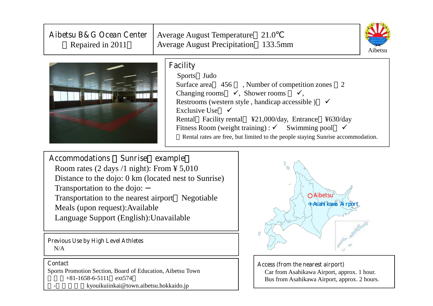| Aibetsu B&G Ocean Center<br>Repaired in 2011       | Average August Temperature 21.0<br><b>Average August Precipitation</b> 133.5mm<br>Aibetsu                                                                                                                                                                                                                                                                                                                                                              |  |  |  |
|----------------------------------------------------|--------------------------------------------------------------------------------------------------------------------------------------------------------------------------------------------------------------------------------------------------------------------------------------------------------------------------------------------------------------------------------------------------------------------------------------------------------|--|--|--|
|                                                    | <b>Facility</b><br>Sports Judo<br>Surface area 456, Number of competition zones 2<br>Changing rooms $\checkmark$ , Shower rooms $\checkmark$ ,<br>Restrooms (western style, handicap accessible) $\checkmark$<br>Exclusive Use $\checkmark$<br>Rental Facility rental ¥21,000/day, Entrance ¥630/day<br>Fitness Room (weight training) : $\checkmark$ Swimming pool<br>Rental rates are free, but limited to the people staying Sunrise accommodation. |  |  |  |
| <b>Accommodations</b><br><b>Sunrise</b><br>example |                                                                                                                                                                                                                                                                                                                                                                                                                                                        |  |  |  |

**Accommodations** ~**Sunrise**(**example**) Room rates (2 days /1 night): From ¥ 5,010 Distance to the dojo: 0 km (located nest to Sunrise) Transportation to the dojo: Transportation to the nearest airport Negotiable Meals (upon request):Available Language Support (English):Unavailable

**Previous Use by High Level Athletes** N/A

#### **Contact**

Sports Promotion Section, Board of Education, Aibetsu Town +81-1658-6-5111 ext574 - kyouikuiinkai@town.aibetsu.hokkaido.jp



**Access (from the nearest airport)**

Car from Asahikawa Airport, approx. 1 hour. Bus from Asahikawa Airport, approx. 2 hours.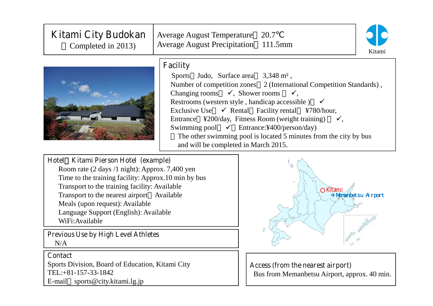| <b>Kitami City Budokan</b><br>Completed in 2013)                                       | Average August Temperature 20.7<br><b>Average August Precipitation</b> 111.5mm<br>Kitami                                                                                                                                                                                                                                                                                                                                                                                                                                                                                         |
|----------------------------------------------------------------------------------------|----------------------------------------------------------------------------------------------------------------------------------------------------------------------------------------------------------------------------------------------------------------------------------------------------------------------------------------------------------------------------------------------------------------------------------------------------------------------------------------------------------------------------------------------------------------------------------|
|                                                                                        | <b>Facility</b><br>Sports Judo, Surface area $3,348 \text{ m}^2$ ,<br>Number of competition zones 2 (International Competition Standards),<br>Changing rooms $\checkmark$ , Shower rooms $\checkmark$ ,<br>Restrooms (western style, handicap accessible) $\checkmark$<br>Exclusive Use $\checkmark$ Rental Facility rental ¥780/hour,<br>Entrance ¥200/day, Fitness Room (weight training) $\checkmark$ ,<br>Swimming pool $\checkmark$ Entrance: ¥400/person/day)<br>The other swimming pool is located 5 minutes from the city by bus<br>and will be completed in March 2015. |
| Hotel Kitami Pierson Hotel (example)<br>Room rate (2 days /1 night): Approx. 7,400 yen |                                                                                                                                                                                                                                                                                                                                                                                                                                                                                                                                                                                  |
| Time to the training facility: Approx.10 min by bus                                    |                                                                                                                                                                                                                                                                                                                                                                                                                                                                                                                                                                                  |

Transport to the training facility: Available Transport to the nearest airport Available Meals (upon request): Available Language Support (English): Available WiFi:Available

**Previous Use by High Level Athletes** N/A

### **Contact**

Sports Division, Board of Education, Kitami City TEL:+81-157-33-1842 E-mail sports@city.kitami.lg.jp



**Access (from the nearest airport)** Bus from Memanbetsu Airport, approx. 40 min.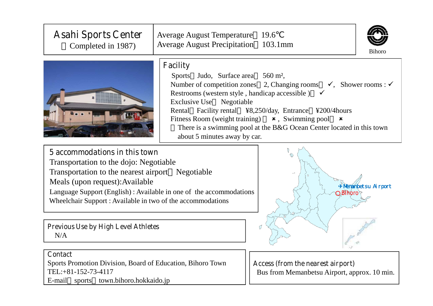| <b>Asahi Sports Center</b><br>Completed in 1987)                                                                                                                                                                                                                                                                                                                                                                                                                                                                                                | <b>Average August Temperature</b><br><b>Average August Precipitation</b> | 19.6<br>$103.1$ mm                                                                | <b>Bihoro</b> |
|-------------------------------------------------------------------------------------------------------------------------------------------------------------------------------------------------------------------------------------------------------------------------------------------------------------------------------------------------------------------------------------------------------------------------------------------------------------------------------------------------------------------------------------------------|--------------------------------------------------------------------------|-----------------------------------------------------------------------------------|---------------|
| <b>Facility</b><br>560 m <sup>2</sup> ,<br>Judo, Surface area<br><b>Sports</b><br>Number of competition zones 2, Changing rooms $\checkmark$ , Shower rooms : $\checkmark$<br>Restrooms (western style, handicap accessible) $\checkmark$<br><b>Exclusive Use</b><br>Negotiable<br>Rental Facility rental ¥8,250/day, Entrance ¥200/4 hours<br>Fitness Room (weight training)<br><b>*</b> , Swimming pool<br>$\boldsymbol{\mathsf{x}}$<br>There is a swimming pool at the B&G Ocean Center located in this town<br>about 5 minutes away by car. |                                                                          |                                                                                   |               |
| 5 accommodations in this town<br>Transportation to the dojo: Negotiable<br>Transportation to the nearest airport Negotiable<br>Meals (upon request): Available<br>*Nenanbetsu Airport<br>Language Support (English): Available in one of the accommodations<br><b>Blhoro</b><br>Wheelchair Support: Available in two of the accommodations                                                                                                                                                                                                      |                                                                          |                                                                                   |               |
| <b>Previous Use by High Level Athletes</b><br>N/A                                                                                                                                                                                                                                                                                                                                                                                                                                                                                               |                                                                          | σ                                                                                 |               |
| <b>Contact</b><br>Sports Promotion Division, Board of Education, Bihoro Town<br>TEL:+81-152-73-4117<br>E-mail sports town.bihoro.hokkaido.jp                                                                                                                                                                                                                                                                                                                                                                                                    |                                                                          | Access (from the nearest airport)<br>Bus from Memanbetsu Airport, approx. 10 min. |               |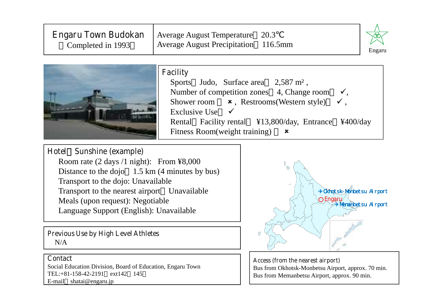| <b>Engaru Town Budokan</b><br>Completed in 1993 | Average August Temperature 20.3<br>Average August Precipitation 116.5mm | 797    |
|-------------------------------------------------|-------------------------------------------------------------------------|--------|
|                                                 |                                                                         | Engaru |



#### **Facility**

Sports Judo, Surface area 2,587 m<sup>2</sup>, Number of competition zones 4, Change room Shower room  $\star$ , Restrooms(Western style)  $\checkmark$ , Exclusive Use Rental Facility rental ¥13,800/day, Entrance ¥400/day Fitness Room(weight training)  $\boldsymbol{\mathsf{x}}$ 

### **Hotel**~**Sunshine (example)**

Room rate (2 days /1 night): From ¥8,000 Distance to the dojo 1.5 km (4 minutes by bus) Transport to the dojo: Unavailable Transport to the nearest airport Unavailable Meals (upon request): Negotiable Language Support (English): Unavailable

**Previous Use by High Level Athletes**  $N/A$ 

#### **Contact**

Social Education Division, Board of Education, Engaru Town TEL:+81-158-42-2191 ext142 145 E-mail shatai@engaru.jp



**Access (from the nearest airport)** Bus from Okhotsk-Monbetsu Airport, approx. 70 min. Bus from Memanbetsu Airport, approx. 90 min.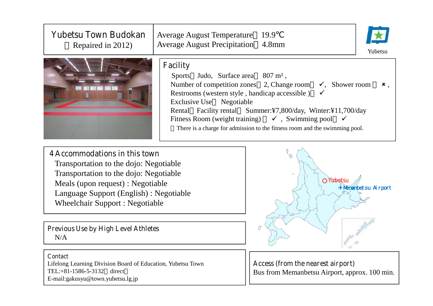| <b>Yubetsu Town Budokan</b><br>Repaired in 2012)                                                                                                                                                                                                                                                       | <b>Average August Temperature</b><br><b>Average August Precipitation</b>                                                                                                                     | 19.9<br>4.8mm<br>Yubetsu                                                                                                                                                                                                                                                |
|--------------------------------------------------------------------------------------------------------------------------------------------------------------------------------------------------------------------------------------------------------------------------------------------------------|----------------------------------------------------------------------------------------------------------------------------------------------------------------------------------------------|-------------------------------------------------------------------------------------------------------------------------------------------------------------------------------------------------------------------------------------------------------------------------|
|                                                                                                                                                                                                                                                                                                        | <b>Facility</b><br>Judo, Surface area<br><b>Sports</b><br>Number of competition zones 2, Change room<br>Restrooms (western style, handicap accessible)<br><b>Exclusive Use</b><br>Negotiable | $807 \text{ m}^2$ ,<br>$\checkmark$ , Shower room<br>$x$ ,<br>Rental Facility rental Summer:¥7,800/day, Winter:¥11,700/day<br>Fitness Room (weight training) $\checkmark$ , Swimming pool<br>There is a charge for admission to the fitness room and the swimming pool. |
| <b>4 Accommodations in this town</b><br>Transportation to the dojo: Negotiable<br>Transportation to the dojo: Negotiable<br>Meals (upon request) : Negotiable<br>Language Support (English) : Negotiable<br><b>Wheelchair Support: Negotiable</b><br><b>Previous Use by High Level Athletes</b><br>N/A |                                                                                                                                                                                              | $\circ$<br>Yubetsu<br>* Menanbet su Ai rport                                                                                                                                                                                                                            |
| <b>Contact</b><br>Lifelong Learning Division Board of Education, Yubetsu Town<br>TEL:+81-1586-5-3132 direct                                                                                                                                                                                            |                                                                                                                                                                                              | Access (from the nearest airport)<br>Bus from Memanbetsu Airport, approx. 100 min.                                                                                                                                                                                      |

E-mail:gakusyu@town.yubetsu.lg.jp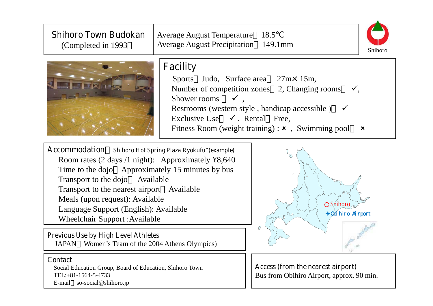| <b>Shihoro Town Budokan</b><br>(Completed in 1993)                                                                                                                                                                                                                                                                                                                               | Average August Temperature 18.5<br><b>Average August Precipitation</b> 149.1mm                         | Shihoro                                                                                                                                                                                                        |
|----------------------------------------------------------------------------------------------------------------------------------------------------------------------------------------------------------------------------------------------------------------------------------------------------------------------------------------------------------------------------------|--------------------------------------------------------------------------------------------------------|----------------------------------------------------------------------------------------------------------------------------------------------------------------------------------------------------------------|
|                                                                                                                                                                                                                                                                                                                                                                                  | <b>Facility</b><br>Sports<br>$\checkmark$<br>Shower rooms<br>Exclusive Use $\checkmark$ , Rental Free, | Judo, Surface area 27m × 15m,<br>Number of competition zones 2, Changing rooms<br>Restrooms (western style, handicap accessible)<br>Fitness Room (weight training) : $\boldsymbol{\star}$ , Swimming pool<br>× |
| <b>Accommodation</b> Shihoro Hot Spring Plaza Ryokufu"(example)<br>Room rates (2 days /1 night): Approximately $48,640$<br>Time to the dojo Approximately 15 minutes by bus<br>Transport to the dojo Available<br>Transport to the nearest airport Available<br>Meals (upon request): Available<br>Language Support (English): Available<br><b>Wheelchair Support: Available</b> |                                                                                                        | Shihoro<br>+Oi hi ro Ai rport                                                                                                                                                                                  |
| <b>Previous Use by High Level Athletes</b><br>JAPAN Women's Team of the 2004 Athens Olympics)                                                                                                                                                                                                                                                                                    |                                                                                                        |                                                                                                                                                                                                                |
| <b>Contact</b><br>Social Education Group, Board of Education, Shihoro Town<br>TEL:+81-1564-5-4733<br>E-mail $so-social@shihoro.jp$                                                                                                                                                                                                                                               |                                                                                                        | Access (from the nearest airport)<br>Bus from Obihiro Airport, approx. 90 min.                                                                                                                                 |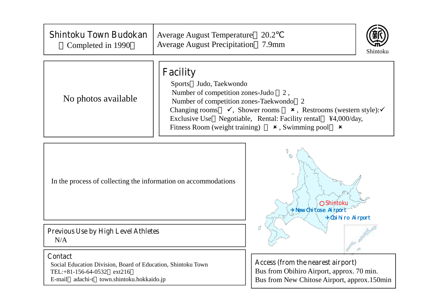| <b>Shintoku Town Budokan</b><br>Completed in 1990 | <b>Average August Temperature</b><br>20.2<br><b>Average August Precipitation</b> 7.9mm<br>Shintoku                                                                                                                                                                                                                                                                                   |
|---------------------------------------------------|--------------------------------------------------------------------------------------------------------------------------------------------------------------------------------------------------------------------------------------------------------------------------------------------------------------------------------------------------------------------------------------|
| No photos available                               | <b>Facility</b><br>Sports Judo, Taekwondo<br>Number of competition zones-Judo $2$ ,<br>Number of competition zones-Taekwondo 2<br>Changing rooms $\checkmark$ , Shower rooms $\checkmark$ , Restrooms (western style): $\checkmark$<br>Exclusive Use Negotiable, Rental: Facility rental \\frac{4,000/day,<br>Fitness Room (weight training) $\star$ , Swimming pool<br>$\mathbf{x}$ |



Social Education Division, Board of Education, Shintoku Town TEL:+81-156-64-0532 ext216 E-mail adachi-t town.shintoku.hokkaido.jp

**Access (from the nearest airport)** Bus from Obihiro Airport, approx. 70 min. Bus from New Chitose Airport, approx.150min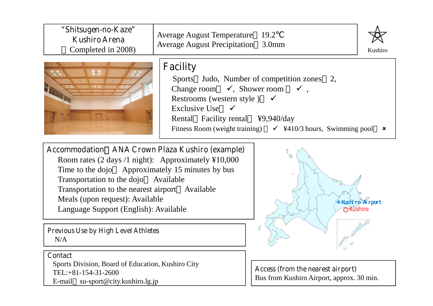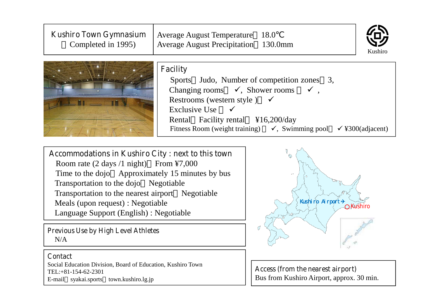| <b>Kushiro Town Gymnasium</b><br>Completed in 1995) | <b>Average August Temperature</b><br>18.0<br><b>Average August Precipitation</b> 130.0mm<br>Kushiro                                                                                                                                                                                                                               |
|-----------------------------------------------------|-----------------------------------------------------------------------------------------------------------------------------------------------------------------------------------------------------------------------------------------------------------------------------------------------------------------------------------|
|                                                     | <b>Facility</b><br>Sports Judo, Number of competition zones 3,<br>Changing rooms $\checkmark$ , Shower rooms $\checkmark$ ,<br>Restrooms (western style) $\checkmark$<br><b>Exclusive Use</b><br>Rental Facility rental ¥16,200/day<br>Fitness Room (weight training) $\checkmark$ , Swimming pool<br>$\checkmark$ ¥300(adjacent) |

## **Accommodations in Kushiro City : next to this town**

Room rate (2 days /1 night) From ¥7,000 Time to the dojo Approximately 15 minutes by bus Transportation to the dojo Negotiable Transportation to the nearest airport Negotiable Meals (upon request) : Negotiable Language Support (English) : Negotiable

**Previous Use by High Level Athletes** N/A

#### **Contact**

Social Education Division, Board of Education, Kushiro Town TEL:+81-154-62-2301 E-mail syakai.sports town.kushiro.lg.jp



**Access (from the nearest airport)** Bus from Kushiro Airport, approx. 30 min.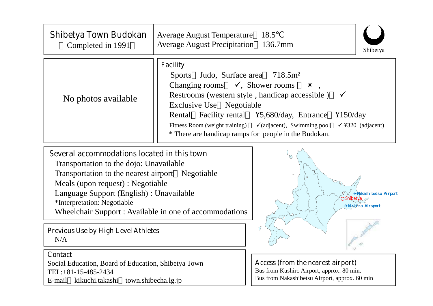| <b>Shibetya Town Budokan</b><br>Completed in 1991                                                                                                                                                                                                                                                                     | <b>Average August Temperature</b><br><b>Average August Precipitation</b>                                                                   | 18.5<br>136.7mm<br>Shibetya                                                                                                                                                                                                                                                                                                                      |
|-----------------------------------------------------------------------------------------------------------------------------------------------------------------------------------------------------------------------------------------------------------------------------------------------------------------------|--------------------------------------------------------------------------------------------------------------------------------------------|--------------------------------------------------------------------------------------------------------------------------------------------------------------------------------------------------------------------------------------------------------------------------------------------------------------------------------------------------|
| No photos available                                                                                                                                                                                                                                                                                                   | <b>Facility</b><br>Sports Judo, Surface area 718.5m <sup>2</sup><br>Changing rooms $\checkmark$ , Shower rooms<br>Exclusive Use Negotiable | $\boldsymbol{\mathsf{x}}$<br>Restrooms (western style, handicap accessible)<br>$\checkmark$<br>Rental Facility rental ¥5,680/day, Entrance<br>$\frac{\text{4150}}{\text{day}}$<br>Fitness Room (weight training) $\checkmark$ (adjacent), Swimming pool<br>$\checkmark$ ¥320 (adjacent)<br>* There are handicap ramps for people in the Budokan. |
| Several accommodations located in this town<br>Transportation to the dojo: Unavailable<br>Transportation to the nearest airport Negotiable<br>Meals (upon request) : Negotiable<br>Language Support (English) : Unavailable<br>*Interpretation: Negotiable<br>Wheelchair Support : Available in one of accommodations |                                                                                                                                            | * Nakashi betsu Airport<br>Shibetya<br>*Kushiro Airsport<br>17                                                                                                                                                                                                                                                                                   |
| <b>Previous Use by High Level Athletes</b><br>N/A<br><b>Contact</b><br>Social Education, Board of Education, Shibetya Town<br>TEL: +81-15-485-2434                                                                                                                                                                    |                                                                                                                                            | Access (from the nearest airport)<br>Bus from Kushiro Airport, approx. 80 min.                                                                                                                                                                                                                                                                   |

Bus from Nakashibetsu Airport, approx. 60 min

TEL:+81-15-485-2434

E-mail kikuchi.takashi town.shibecha.lg.jp